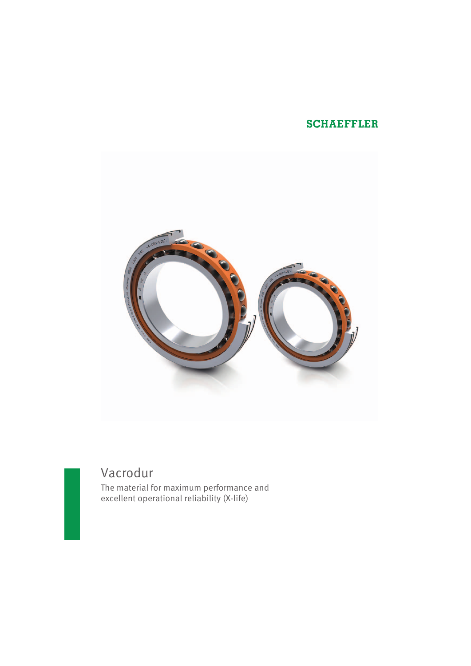## **SCHAEFFLER**



# Vacrodur

The material for maximum performance and excellent operational reliability (X-life)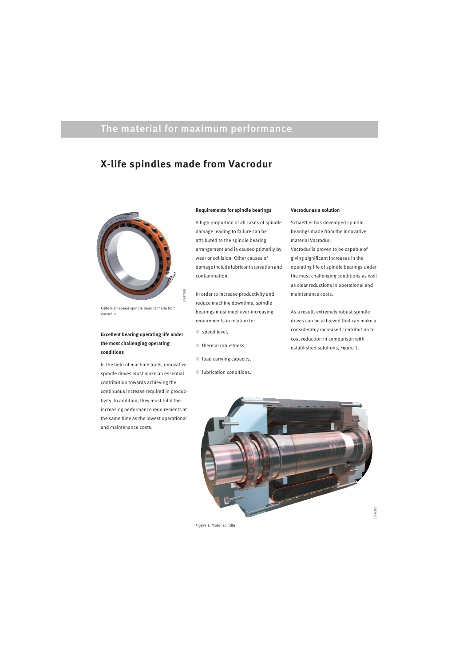## The material for maximum performance

## **X-life spindles made from Vacrodur**

000B7D3B

36028000



X-life high-speed spindle bearing made from Vacrodur

## **Excellent bearing operating life under the most challenging operating conditions**

In the field of machine tools, innovative spindle drives must make an essential contribution towards achieving the continuous increase required in productivity. In addition, they must fulfil the increasing performance requirements at the same time as the lowest operational and maintenance costs.

#### **Requirements for spindle bearings**

A high proportion of all cases of spindle damage leading to failure can be attributed to the spindle bearing arrangement and is caused primarily by wear or collision. Other causes of damage include lubricant starvation and contamination.

In order to increase productivity and reduce machine downtime, spindle bearings must meet ever-increasing requirements in relation to:

- speed level,
- $\Box$  thermal robustness,
- load carrying capacity,
- lubrication conditions.

#### **Vacrodur as a solution**

Schaeffler has developed spindle bearings made from the innovative material Vacrodur.

Vacrodur is proven to be capable of giving significant increases in the operating life of spindle bearings under the most challenging conditions as well as clear reductions in operational and maintenance costs.

As a result, extremely robust spindle drives can be achieved that can make a considerably increased contribution to cost reduction in comparison with established solutions, Figure 1.



*Figure 1:* Motor spindle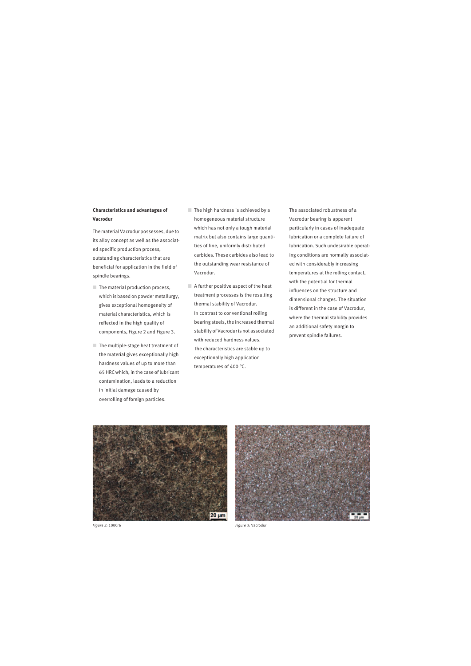### **Characteristics and advantages of Vacrodur**

The material Vacrodur possesses, due to its alloy concept as well as the associated specific production process, outstanding characteristics that are beneficial for application in the field of spindle bearings.

- $\blacksquare$  The material production process, which is based on powder metallurgy, gives exceptional homogeneity of material characteristics, which is reflected in the high quality of components, Figure 2 and Figure 3.
- The multiple-stage heat treatment of the material gives exceptionally high hardness values of up to more than 65 HRC which, in the case of lubricant contamination, leads to a reduction in initial damage caused by overrolling of foreign particles.
- $\blacksquare$  The high hardness is achieved by a homogeneous material structure which has not only a tough material matrix but also contains large quantities of fine, uniformly distributed carbides. These carbides also lead to the outstanding wear resistance of Vacrodur.
- A further positive aspect of the heat treatment processes is the resulting thermal stability of Vacrodur. In contrast to conventional rolling bearing steels, the increased thermal stability of Vacrodur is not associated with reduced hardness values. The characteristics are stable up to exceptionally high application temperatures of 400 °C.

The associated robustness of a Vacrodur bearing is apparent particularly in cases of inadequate lubrication or a complete failure of lubrication. Such undesirable operating conditions are normally associated with considerably increasing temperatures at the rolling contact, with the potential for thermal influences on the structure and dimensional changes. The situation is different in the case of Vacrodur, where the thermal stability provides an additional safety margin to prevent spindle failures.



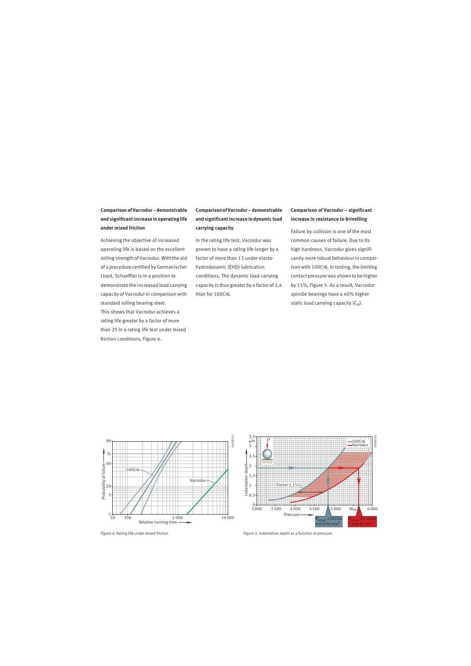**Comparison of Vacrodur – demonstrable and significant increase in operating life under mixed friction**

Achieving the objective of increased operating life is based on the excellent rolling strength of Vacrodur. With the aid of a procedure certified by Germanischer Lloyd, Schaeffler is in a position to demonstrate the increased load carrying capacity of Vacrodur in comparison with standard rolling bearing steel. This shows that Vacrodur achieves a rating life greater by a factor of more than 25 in a rating life test under mixed friction conditions, Figure 4.

## **Comparison of Vacrodur – demonstrable and significant increase in dynamic load carrying capacity**

In the rating life test, Vacrodur was proven to have a rating life longer by a factor of more than 13 under elastohydrodynamic (EHD) lubrication conditions. The dynamic load carrying capacity is thus greater by a factor of 2,4 than for 100Cr6.

### **Comparison of Vacrodur – significant increase in resistance to brinelling**

Failure by collision is one of the most common causes of failure. Due to its high hardness, Vacrodur gives significantly more robust behaviour in comparison with 100Cr6. In testing, the limiting contact pressure was shown to be higher by 15%, Figure 5. As a result, Vacrodur spindle bearings have a 40% higher static load carrying capacity  $(C_0)$ .





*Figure 4:* Rating life under mixed friction *Figure 5:* Indentation depth as a function of pressure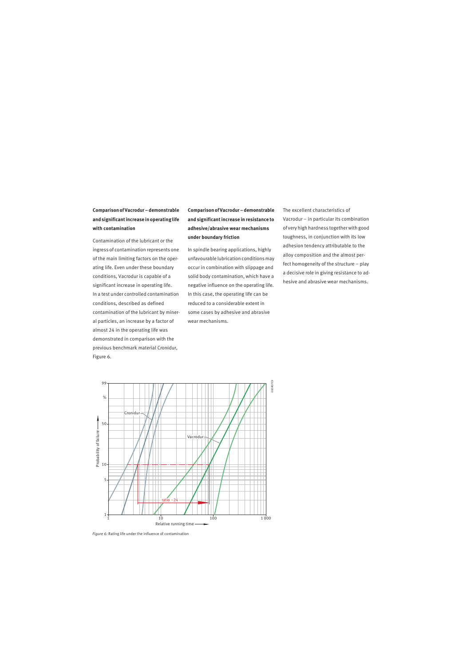**Comparison of Vacrodur – demonstrable and significant increase in operating life with contamination**

Contamination of the lubricant or the ingress of contamination represents one of the main limiting factors on the operating life. Even under these boundary conditions, Vacrodur is capable of a significant increase in operating life. In a test under controlled contamination conditions, described as defined contamination of the lubricant by mineral particles, an increase by a factor of almost 24 in the operating life was demonstrated in comparison with the previous benchmark material Cronidur, Figure 6.

**Comparison of Vacrodur – demonstrable and significant increase in resistance to adhesive/abrasive wear mechanisms under boundary friction**

In spindle bearing applications, highly unfavourable lubrication conditions may occur in combination with slippage and solid body contamination, which have a negative influence on the operating life. In this case, the operating life can be reduced to a considerable extent in some cases by adhesive and abrasive wear mechanisms.

The excellent characteristics of Vacrodur – in particular its combination of very high hardness together with good toughness, in conjunction with its low adhesion tendency attributable to the alloy composition and the almost perfect homogeneity of the structure – play a decisive role in giving resistance to adhesive and abrasive wear mechanisms.



*Figure 6:* Rating life under the influence of contamination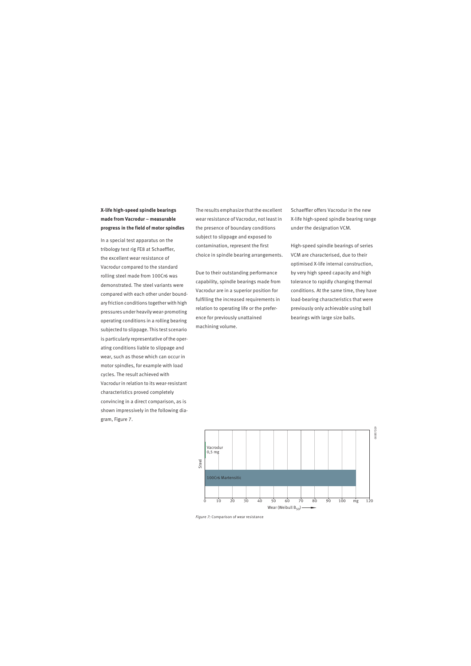## **X-life high-speed spindle bearings made from Vacrodur – measurable progress in the field of motor spindles**

In a special test apparatus on the tribology test rig FE8 at Schaeffler, the excellent wear resistance of Vacrodur compared to the standard rolling steel made from 100Cr6 was demonstrated. The steel variants were compared with each other under boundary friction conditions together with high pressures under heavily wear-promoting operating conditions in a rolling bearing subjected to slippage. This test scenario is particularly representative of the operating conditions liable to slippage and wear, such as those which can occur in motor spindles, for example with load cycles. The result achieved with Vacrodur in relation to its wear-resistant characteristics proved completely convincing in a direct comparison, as is shown impressively in the following diagram, Figure 7.

The results emphasize that the excellent wear resistance of Vacrodur, not least in the presence of boundary conditions subject to slippage and exposed to contamination, represent the first choice in spindle bearing arrangements.

Due to their outstanding performance capability, spindle bearings made from Vacrodur are in a superior position for fulfilling the increased requirements in relation to operating life or the preference for previously unattained machining volume.

Schaeffler offers Vacrodur in the new X-life high-speed spindle bearing range under the designation VCM.

High-speed spindle bearings of series VCM are characterised, due to their optimised X-life internal construction, by very high speed capacity and high tolerance to rapidly changing thermal conditions. At the same time, they have load-bearing characteristics that were previously only achievable using ball bearings with large size balls.



*Figure 7:* Comparison of wear resistance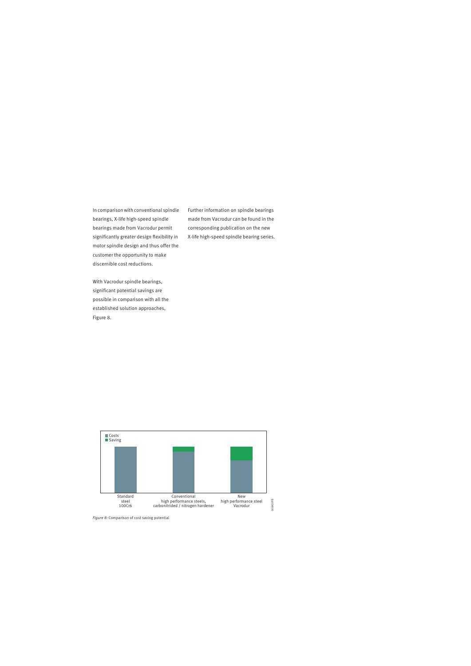In comparison with conventional spindle bearings, X-life high-speed spindle bearings made from Vacrodur permit significantly greater design flexibility in motor spindle design and thus offer the customer the opportunity to make discernible cost reductions.

Further information on spindle bearings made from Vacrodur can be found in the corresponding publication on the new X-life high-speed spindle bearing series.

With Vacrodur spindle bearings, significant potential savings are possible in comparison with all the established solution approaches, Figure 8.



*Figure 8:* Comparison of cost saving potential